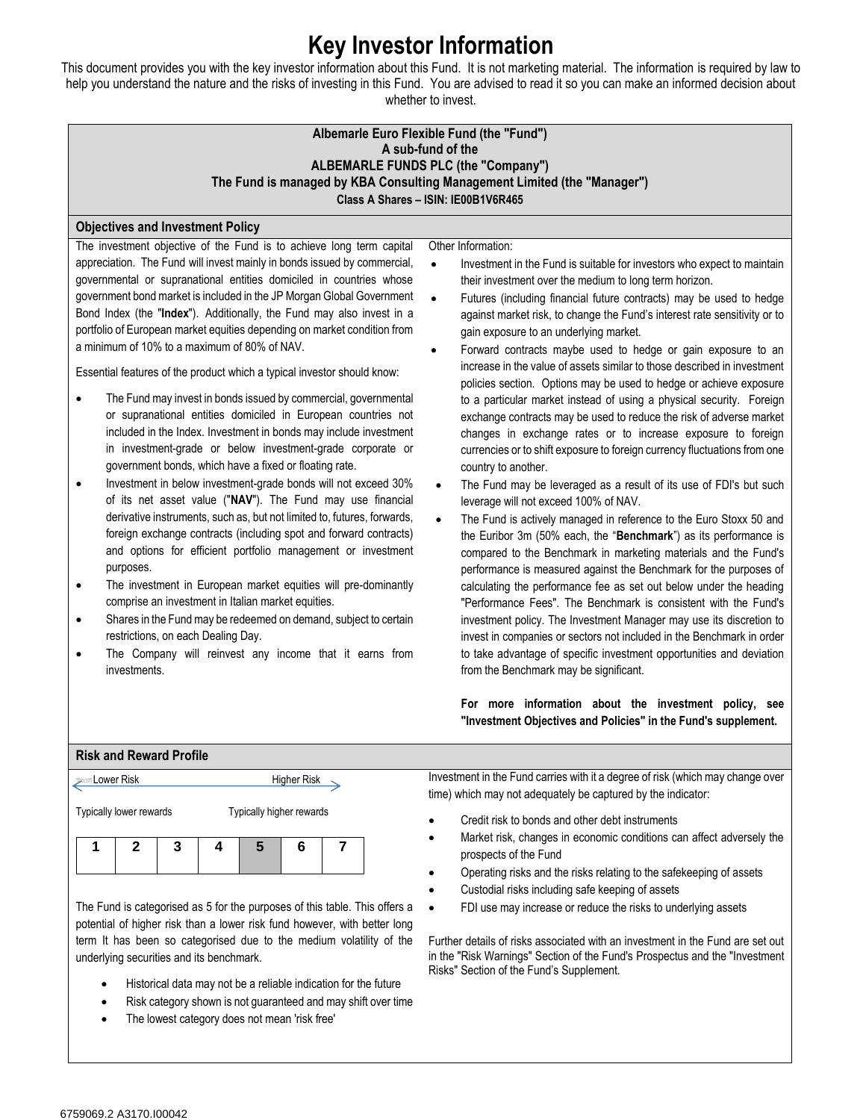## **Key Investor Information**

This document provides you with the key investor information about this Fund. It is not marketing material. The information is required by law to help you understand the nature and the risks of investing in this Fund. You are advised to read it so you can make an informed decision about whether to invest.

| whether to invest.                                                                                                                                                                                                                                                                                                                                                                                                                                                                                                                                                                                                                                                                                                                                                                                                                                                                                                                                                                                                                                                                                                                                                                                                                                                                                                                                                                                                                                                                                                                                                                                                                              |                                                                                                                                                                                                                                                                                                                                                                                                                                                                                                                                                                                                                                                                                                                                                                                                                                                                                                                                                                                                                                                                                                                                                                                                                                                                                                                                                                                                                                                                                                                                                                                                                                                                                                                                                                                                                                                                                                    |  |
|-------------------------------------------------------------------------------------------------------------------------------------------------------------------------------------------------------------------------------------------------------------------------------------------------------------------------------------------------------------------------------------------------------------------------------------------------------------------------------------------------------------------------------------------------------------------------------------------------------------------------------------------------------------------------------------------------------------------------------------------------------------------------------------------------------------------------------------------------------------------------------------------------------------------------------------------------------------------------------------------------------------------------------------------------------------------------------------------------------------------------------------------------------------------------------------------------------------------------------------------------------------------------------------------------------------------------------------------------------------------------------------------------------------------------------------------------------------------------------------------------------------------------------------------------------------------------------------------------------------------------------------------------|----------------------------------------------------------------------------------------------------------------------------------------------------------------------------------------------------------------------------------------------------------------------------------------------------------------------------------------------------------------------------------------------------------------------------------------------------------------------------------------------------------------------------------------------------------------------------------------------------------------------------------------------------------------------------------------------------------------------------------------------------------------------------------------------------------------------------------------------------------------------------------------------------------------------------------------------------------------------------------------------------------------------------------------------------------------------------------------------------------------------------------------------------------------------------------------------------------------------------------------------------------------------------------------------------------------------------------------------------------------------------------------------------------------------------------------------------------------------------------------------------------------------------------------------------------------------------------------------------------------------------------------------------------------------------------------------------------------------------------------------------------------------------------------------------------------------------------------------------------------------------------------------------|--|
| Albemarle Euro Flexible Fund (the "Fund")<br>A sub-fund of the<br><b>ALBEMARLE FUNDS PLC (the "Company")</b><br>The Fund is managed by KBA Consulting Management Limited (the "Manager")<br>Class A Shares - ISIN: IE00B1V6R465                                                                                                                                                                                                                                                                                                                                                                                                                                                                                                                                                                                                                                                                                                                                                                                                                                                                                                                                                                                                                                                                                                                                                                                                                                                                                                                                                                                                                 |                                                                                                                                                                                                                                                                                                                                                                                                                                                                                                                                                                                                                                                                                                                                                                                                                                                                                                                                                                                                                                                                                                                                                                                                                                                                                                                                                                                                                                                                                                                                                                                                                                                                                                                                                                                                                                                                                                    |  |
| <b>Objectives and Investment Policy</b>                                                                                                                                                                                                                                                                                                                                                                                                                                                                                                                                                                                                                                                                                                                                                                                                                                                                                                                                                                                                                                                                                                                                                                                                                                                                                                                                                                                                                                                                                                                                                                                                         |                                                                                                                                                                                                                                                                                                                                                                                                                                                                                                                                                                                                                                                                                                                                                                                                                                                                                                                                                                                                                                                                                                                                                                                                                                                                                                                                                                                                                                                                                                                                                                                                                                                                                                                                                                                                                                                                                                    |  |
| The investment objective of the Fund is to achieve long term capital<br>appreciation. The Fund will invest mainly in bonds issued by commercial,<br>governmental or supranational entities domiciled in countries whose<br>government bond market is included in the JP Morgan Global Government<br>Bond Index (the "Index"). Additionally, the Fund may also invest in a<br>portfolio of European market equities depending on market condition from<br>a minimum of 10% to a maximum of 80% of NAV.<br>Essential features of the product which a typical investor should know:<br>The Fund may invest in bonds issued by commercial, governmental<br>or supranational entities domiciled in European countries not<br>included in the Index. Investment in bonds may include investment<br>in investment-grade or below investment-grade corporate or<br>government bonds, which have a fixed or floating rate.<br>Investment in below investment-grade bonds will not exceed 30%<br>$\bullet$<br>of its net asset value ("NAV"). The Fund may use financial<br>derivative instruments, such as, but not limited to, futures, forwards,<br>foreign exchange contracts (including spot and forward contracts)<br>and options for efficient portfolio management or investment<br>purposes.<br>The investment in European market equities will pre-dominantly<br>$\bullet$<br>comprise an investment in Italian market equities.<br>Shares in the Fund may be redeemed on demand, subject to certain<br>$\bullet$<br>restrictions, on each Dealing Day.<br>The Company will reinvest any income that it earns from<br>$\bullet$<br>investments. | Other Information:<br>Investment in the Fund is suitable for investors who expect to maintain<br>$\bullet$<br>their investment over the medium to long term horizon.<br>Futures (including financial future contracts) may be used to hedge<br>$\bullet$<br>against market risk, to change the Fund's interest rate sensitivity or to<br>gain exposure to an underlying market.<br>Forward contracts maybe used to hedge or gain exposure to an<br>$\bullet$<br>increase in the value of assets similar to those described in investment<br>policies section. Options may be used to hedge or achieve exposure<br>to a particular market instead of using a physical security. Foreign<br>exchange contracts may be used to reduce the risk of adverse market<br>changes in exchange rates or to increase exposure to foreign<br>currencies or to shift exposure to foreign currency fluctuations from one<br>country to another.<br>The Fund may be leveraged as a result of its use of FDI's but such<br>$\bullet$<br>leverage will not exceed 100% of NAV.<br>The Fund is actively managed in reference to the Euro Stoxx 50 and<br>$\bullet$<br>the Euribor 3m (50% each, the "Benchmark") as its performance is<br>compared to the Benchmark in marketing materials and the Fund's<br>performance is measured against the Benchmark for the purposes of<br>calculating the performance fee as set out below under the heading<br>"Performance Fees". The Benchmark is consistent with the Fund's<br>investment policy. The Investment Manager may use its discretion to<br>invest in companies or sectors not included in the Benchmark in order<br>to take advantage of specific investment opportunities and deviation<br>from the Benchmark may be significant.<br>For more information about the investment policy, see<br>"Investment Objectives and Policies" in the Fund's supplement. |  |
| <b>Risk and Reward Profile</b>                                                                                                                                                                                                                                                                                                                                                                                                                                                                                                                                                                                                                                                                                                                                                                                                                                                                                                                                                                                                                                                                                                                                                                                                                                                                                                                                                                                                                                                                                                                                                                                                                  |                                                                                                                                                                                                                                                                                                                                                                                                                                                                                                                                                                                                                                                                                                                                                                                                                                                                                                                                                                                                                                                                                                                                                                                                                                                                                                                                                                                                                                                                                                                                                                                                                                                                                                                                                                                                                                                                                                    |  |
| <b>Lower Risk</b><br><b>Higher Risk</b>                                                                                                                                                                                                                                                                                                                                                                                                                                                                                                                                                                                                                                                                                                                                                                                                                                                                                                                                                                                                                                                                                                                                                                                                                                                                                                                                                                                                                                                                                                                                                                                                         | Investment in the Fund carries with it a degree of risk (which may change over<br>time) which may not adequately be captured by the indicator:                                                                                                                                                                                                                                                                                                                                                                                                                                                                                                                                                                                                                                                                                                                                                                                                                                                                                                                                                                                                                                                                                                                                                                                                                                                                                                                                                                                                                                                                                                                                                                                                                                                                                                                                                     |  |
| Typically lower rewards<br>Typically higher rewards<br>$\boldsymbol{2}$<br>3<br>1<br>5<br>$6\phantom{1}6$<br>7<br>4                                                                                                                                                                                                                                                                                                                                                                                                                                                                                                                                                                                                                                                                                                                                                                                                                                                                                                                                                                                                                                                                                                                                                                                                                                                                                                                                                                                                                                                                                                                             | Credit risk to bonds and other debt instruments<br>Market risk, changes in economic conditions can affect adversely the<br>prospects of the Fund<br>Operating risks and the risks relating to the safekeeping of assets                                                                                                                                                                                                                                                                                                                                                                                                                                                                                                                                                                                                                                                                                                                                                                                                                                                                                                                                                                                                                                                                                                                                                                                                                                                                                                                                                                                                                                                                                                                                                                                                                                                                            |  |

The Fund is categorised as 5 for the purposes of this table. This offers a Custodial risks including safe keeping of assets • FDI use may increase or reduce the risks to underlying assets

Further details of risks associated with an investment in the Fund are set out in the "Risk Warnings" Section of the Fund's Prospectus and the "Investment Risks" Section of the Fund's Supplement.

potential of higher risk than a lower risk fund however, with better long term It has been so categorised due to the medium volatility of the underlying securities and its benchmark.

- Historical data may not be a reliable indication for the future
- Risk category shown is not guaranteed and may shift over time
- The lowest category does not mean 'risk free'